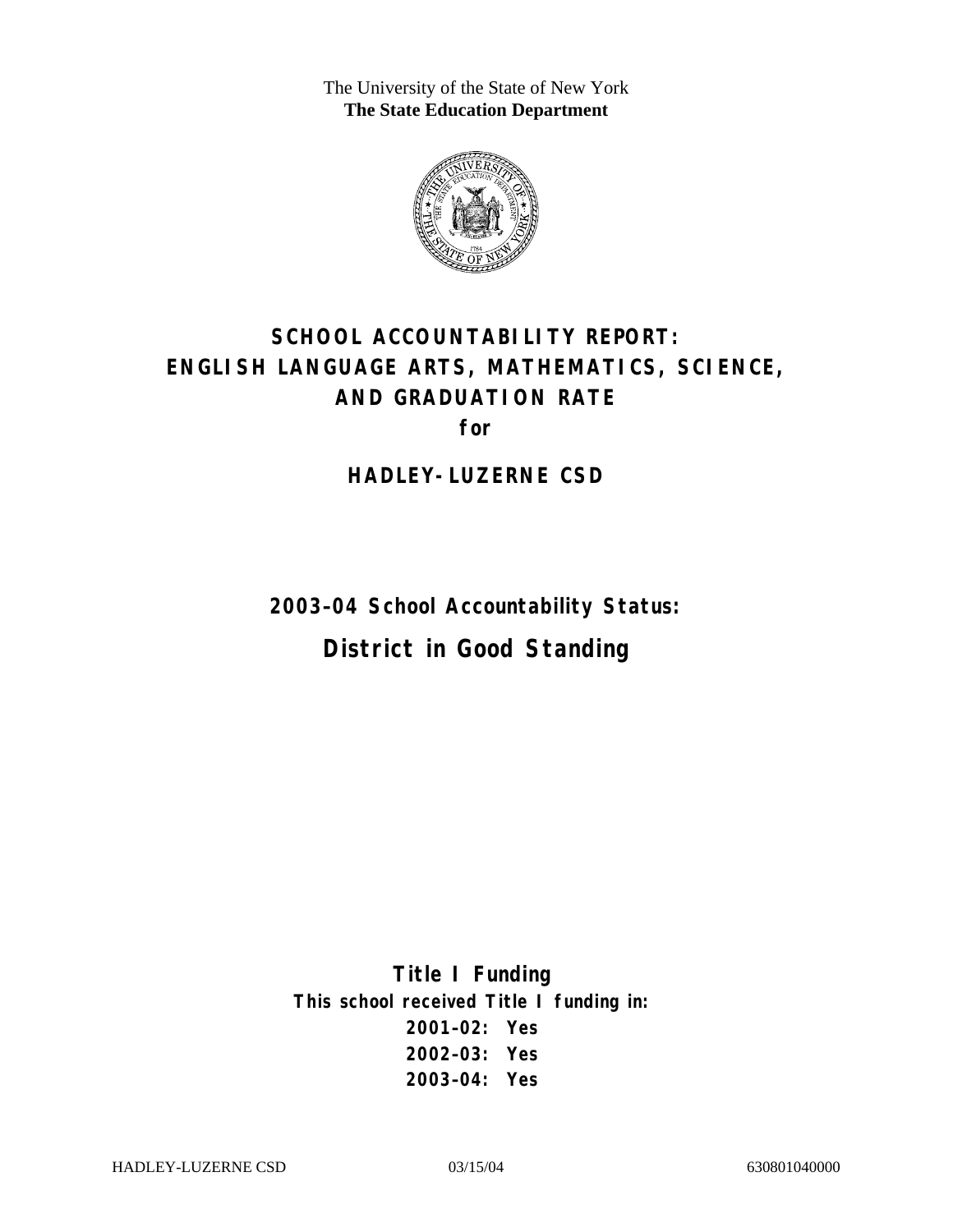The University of the State of New York **The State Education Department** 



# **SCHOOL ACCOUNTABILITY REPORT: ENGLISH LANGUAGE ARTS, MATHEMATICS, SCIENCE, AND GRADUATION RATE for**

**HADLEY-LUZERNE CSD** 

**2003–04 School Accountability Status: District in Good Standing** 

**Title I Funding This school received Title I funding in: 2001–02: Yes 2002–03: Yes 2003–04: Yes**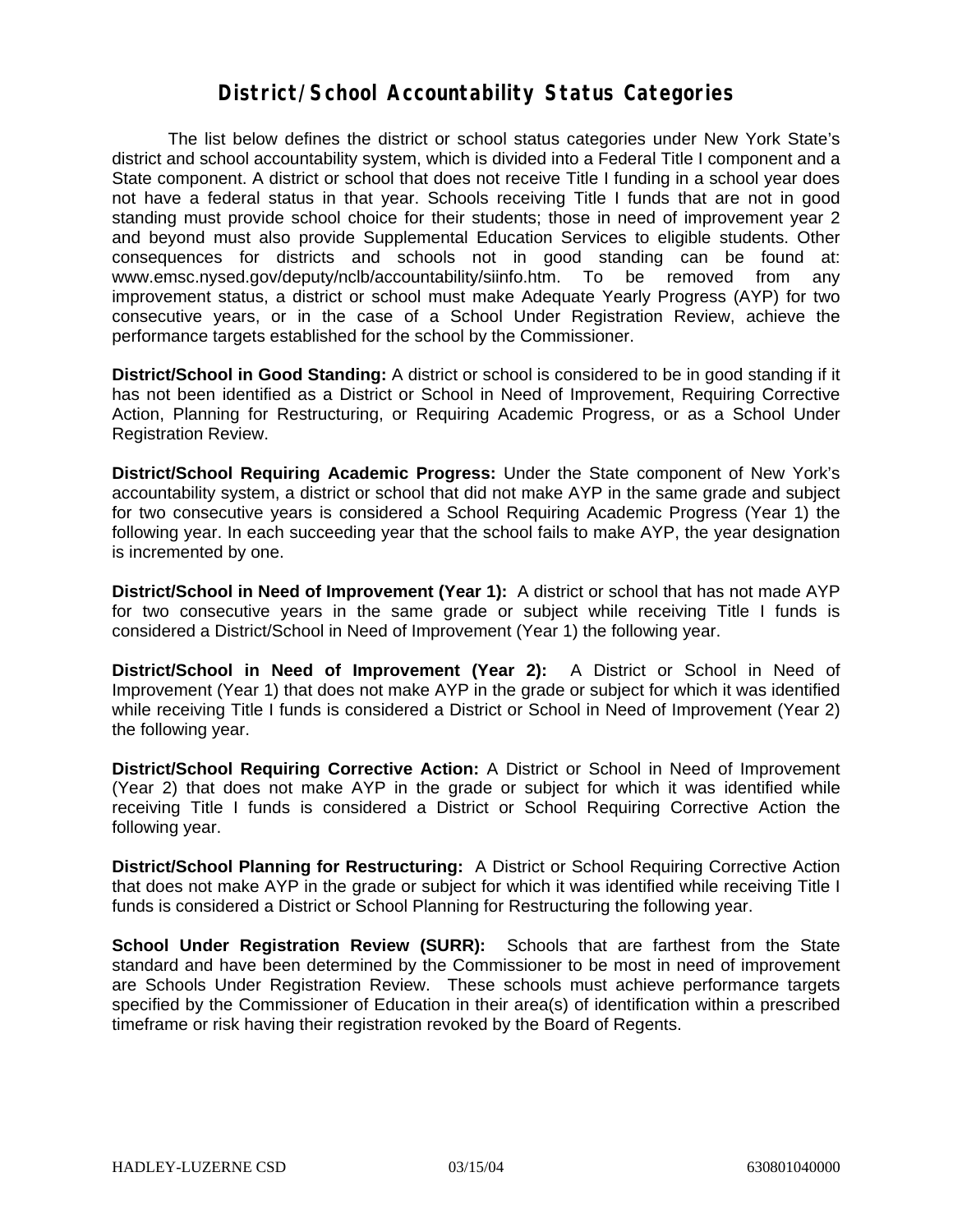#### **District/School Accountability Status Categories**

The list below defines the district or school status categories under New York State's district and school accountability system, which is divided into a Federal Title I component and a State component. A district or school that does not receive Title I funding in a school year does not have a federal status in that year. Schools receiving Title I funds that are not in good standing must provide school choice for their students; those in need of improvement year 2 and beyond must also provide Supplemental Education Services to eligible students. Other consequences for districts and schools not in good standing can be found at: www.emsc.nysed.gov/deputy/nclb/accountability/siinfo.htm. To be removed from any improvement status, a district or school must make Adequate Yearly Progress (AYP) for two consecutive years, or in the case of a School Under Registration Review, achieve the performance targets established for the school by the Commissioner.

**District/School in Good Standing:** A district or school is considered to be in good standing if it has not been identified as a District or School in Need of Improvement, Requiring Corrective Action, Planning for Restructuring, or Requiring Academic Progress, or as a School Under Registration Review.

**District/School Requiring Academic Progress:** Under the State component of New York's accountability system, a district or school that did not make AYP in the same grade and subject for two consecutive years is considered a School Requiring Academic Progress (Year 1) the following year. In each succeeding year that the school fails to make AYP, the year designation is incremented by one.

**District/School in Need of Improvement (Year 1):** A district or school that has not made AYP for two consecutive years in the same grade or subject while receiving Title I funds is considered a District/School in Need of Improvement (Year 1) the following year.

**District/School in Need of Improvement (Year 2):** A District or School in Need of Improvement (Year 1) that does not make AYP in the grade or subject for which it was identified while receiving Title I funds is considered a District or School in Need of Improvement (Year 2) the following year.

**District/School Requiring Corrective Action:** A District or School in Need of Improvement (Year 2) that does not make AYP in the grade or subject for which it was identified while receiving Title I funds is considered a District or School Requiring Corrective Action the following year.

**District/School Planning for Restructuring:** A District or School Requiring Corrective Action that does not make AYP in the grade or subject for which it was identified while receiving Title I funds is considered a District or School Planning for Restructuring the following year.

**School Under Registration Review (SURR):** Schools that are farthest from the State standard and have been determined by the Commissioner to be most in need of improvement are Schools Under Registration Review. These schools must achieve performance targets specified by the Commissioner of Education in their area(s) of identification within a prescribed timeframe or risk having their registration revoked by the Board of Regents.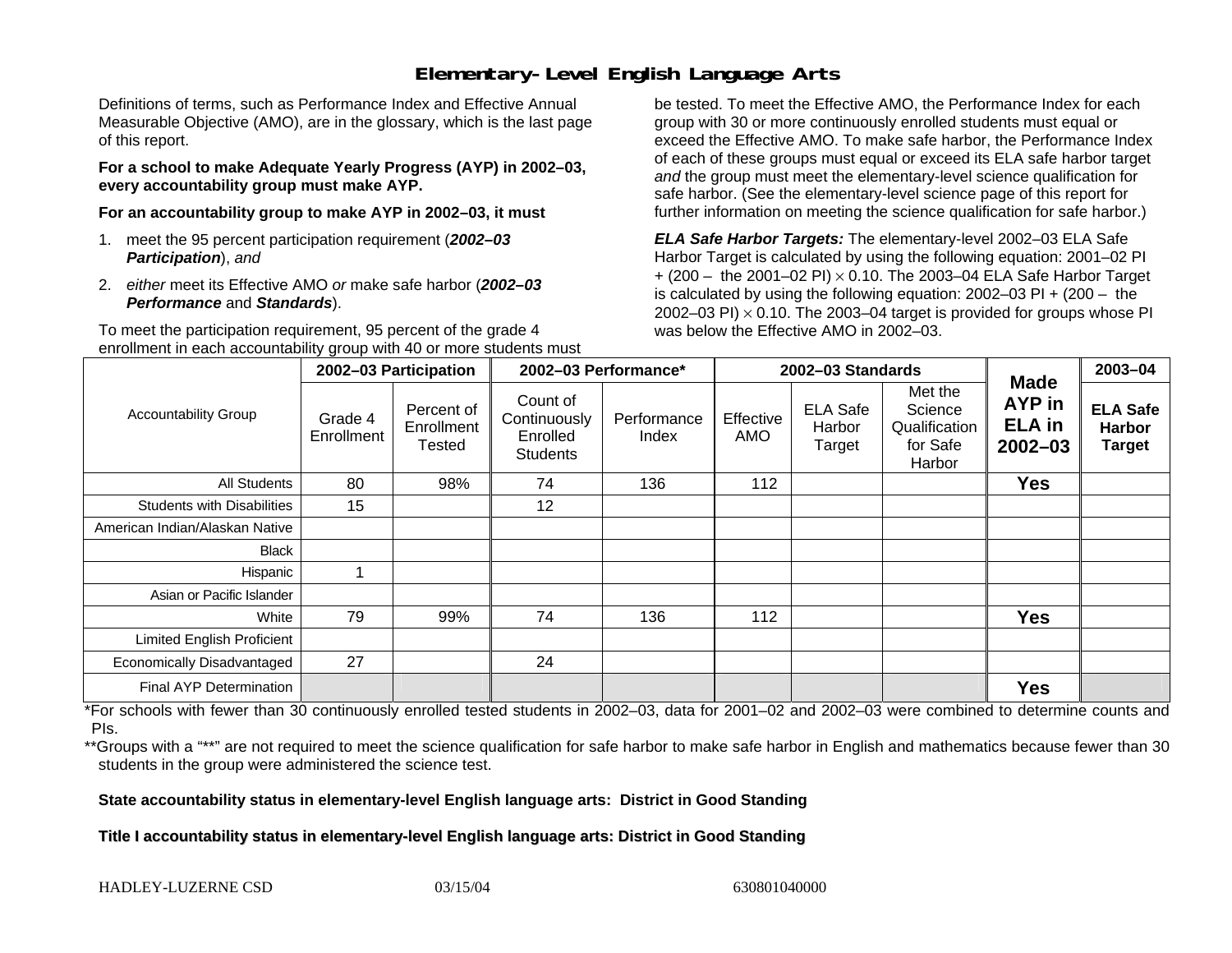## **Elementary-Level English Language Arts**

Definitions of terms, such as Performance Index and Effective Annual Measurable Objective (AMO), are in the glossary, which is the last page of this report.

**For a school to make Adequate Yearly Progress (AYP) in 2002–03, every accountability group must make AYP.** 

**For an accountability group to make AYP in 2002–03, it must** 

- 1. meet the 95 percent participation requirement (*2002–03 Participation*), *and*
- 2. *either* meet its Effective AMO *or* make safe harbor (*2002–03 Performance* and *Standards*).

To meet the participation requirement, 95 percent of the grade 4 enrollment in each accountability group with 40 or more students must

be tested. To meet the Effective AMO, the Performance Index for each group with 30 or more continuously enrolled students must equal or exceed the Effective AMO. To make safe harbor, the Performance Index of each of these groups must equal or exceed its ELA safe harbor target *and* the group must meet the elementary-level science qualification for safe harbor. (See the elementary-level science page of this report for further information on meeting the science qualification for safe harbor.)

*ELA Safe Harbor Targets:* The elementary-level 2002–03 ELA Safe Harbor Target is calculated by using the following equation: 2001–02 PI + (200 – the 2001–02 PI) <sup>×</sup> 0.10. The 2003–04 ELA Safe Harbor Target is calculated by using the following equation: 2002–03 PI + (200 – the 2002–03 PI)  $\times$  0.10. The 2003–04 target is provided for groups whose PI was below the Effective AMO in 2002–03.

|                                   | 2002-03 Participation |                                           | 2002-03 Performance*                                    |                      | 2002-03 Standards |                                     |                                                           | <b>Made</b>                                   | 2003-04                                           |
|-----------------------------------|-----------------------|-------------------------------------------|---------------------------------------------------------|----------------------|-------------------|-------------------------------------|-----------------------------------------------------------|-----------------------------------------------|---------------------------------------------------|
| <b>Accountability Group</b>       | Grade 4<br>Enrollment | Percent of<br>Enrollment<br><b>Tested</b> | Count of<br>Continuously<br>Enrolled<br><b>Students</b> | Performance<br>Index | Effective<br>AMO  | <b>ELA Safe</b><br>Harbor<br>Target | Met the<br>Science<br>Qualification<br>for Safe<br>Harbor | <b>AYP</b> in<br><b>ELA</b> in<br>$2002 - 03$ | <b>ELA Safe</b><br><b>Harbor</b><br><b>Target</b> |
| <b>All Students</b>               | 80                    | 98%                                       | 74                                                      | 136                  | 112               |                                     |                                                           | <b>Yes</b>                                    |                                                   |
| <b>Students with Disabilities</b> | 15                    |                                           | 12                                                      |                      |                   |                                     |                                                           |                                               |                                                   |
| American Indian/Alaskan Native    |                       |                                           |                                                         |                      |                   |                                     |                                                           |                                               |                                                   |
| Black                             |                       |                                           |                                                         |                      |                   |                                     |                                                           |                                               |                                                   |
| Hispanic                          | ٠                     |                                           |                                                         |                      |                   |                                     |                                                           |                                               |                                                   |
| Asian or Pacific Islander         |                       |                                           |                                                         |                      |                   |                                     |                                                           |                                               |                                                   |
| White                             | 79                    | 99%                                       | 74                                                      | 136                  | 112               |                                     |                                                           | <b>Yes</b>                                    |                                                   |
| <b>Limited English Proficient</b> |                       |                                           |                                                         |                      |                   |                                     |                                                           |                                               |                                                   |
| Economically Disadvantaged        | 27                    |                                           | 24                                                      |                      |                   |                                     |                                                           |                                               |                                                   |
| <b>Final AYP Determination</b>    |                       |                                           |                                                         |                      |                   |                                     |                                                           | <b>Yes</b>                                    |                                                   |

\*For schools with fewer than 30 continuously enrolled tested students in 2002–03, data for 2001–02 and 2002–03 were combined to determine counts and PIs.

\*\*Groups with a "\*\*" are not required to meet the science qualification for safe harbor to make safe harbor in English and mathematics because fewer than 30 students in the group were administered the science test.

**State accountability status in elementary-level English language arts: District in Good Standing** 

Title I accountability status in elementary-level English language arts: District in Good Standing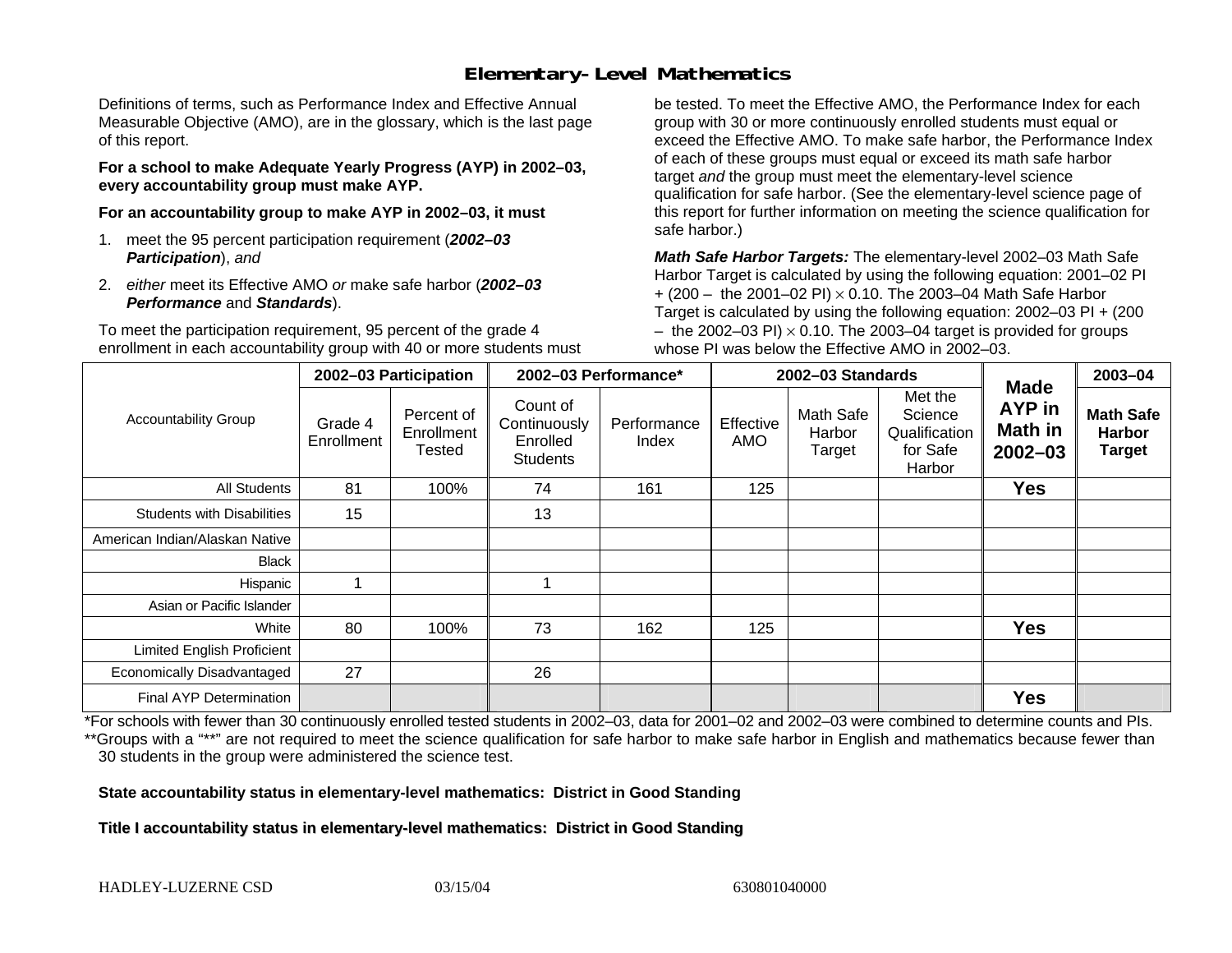## **Elementary-Level Mathematics**

Definitions of terms, such as Performance Index and Effective Annual Measurable Objective (AMO), are in the glossary, which is the last page of this report.

**For a school to make Adequate Yearly Progress (AYP) in 2002–03, every accountability group must make AYP.** 

**For an accountability group to make AYP in 2002–03, it must** 

- 1. meet the 95 percent participation requirement (*2002–03 Participation*), *and*
- 2. *either* meet its Effective AMO *or* make safe harbor (*2002–03 Performance* and *Standards*).

To meet the participation requirement, 95 percent of the grade 4 enrollment in each accountability group with 40 or more students must

be tested. To meet the Effective AMO, the Performance Index for each group with 30 or more continuously enrolled students must equal or exceed the Effective AMO. To make safe harbor, the Performance Index of each of these groups must equal or exceed its math safe harbor target *and* the group must meet the elementary-level science qualification for safe harbor. (See the elementary-level science page of this report for further information on meeting the science qualification for safe harbor.)

*Math Safe Harbor Targets:* The elementary-level 2002–03 Math Safe Harbor Target is calculated by using the following equation: 2001–02 PI + (200 – the 2001–02 PI) × 0.10. The 2003–04 Math Safe Harbor Target is calculated by using the following equation: 2002–03 PI + (200  $-$  the 2002–03 PI)  $\times$  0.10. The 2003–04 target is provided for groups whose PI was below the Effective AMO in 2002–03.

|                                   | 2002-03 Participation |                                    | 2002-03 Performance*                                    |                      |                  | 2002-03 Standards             |                                                           | 2003-04                                         |                                                    |
|-----------------------------------|-----------------------|------------------------------------|---------------------------------------------------------|----------------------|------------------|-------------------------------|-----------------------------------------------------------|-------------------------------------------------|----------------------------------------------------|
| <b>Accountability Group</b>       | Grade 4<br>Enrollment | Percent of<br>Enrollment<br>Tested | Count of<br>Continuously<br>Enrolled<br><b>Students</b> | Performance<br>Index | Effective<br>AMO | Math Safe<br>Harbor<br>Target | Met the<br>Science<br>Qualification<br>for Safe<br>Harbor | <b>Made</b><br>AYP in<br>Math in<br>$2002 - 03$ | <b>Math Safe</b><br><b>Harbor</b><br><b>Target</b> |
| All Students                      | 81                    | 100%                               | 74                                                      | 161                  | 125              |                               |                                                           | <b>Yes</b>                                      |                                                    |
| <b>Students with Disabilities</b> | 15                    |                                    | 13                                                      |                      |                  |                               |                                                           |                                                 |                                                    |
| American Indian/Alaskan Native    |                       |                                    |                                                         |                      |                  |                               |                                                           |                                                 |                                                    |
| <b>Black</b>                      |                       |                                    |                                                         |                      |                  |                               |                                                           |                                                 |                                                    |
| Hispanic                          |                       |                                    |                                                         |                      |                  |                               |                                                           |                                                 |                                                    |
| Asian or Pacific Islander         |                       |                                    |                                                         |                      |                  |                               |                                                           |                                                 |                                                    |
| White                             | 80                    | 100%                               | 73                                                      | 162                  | 125              |                               |                                                           | <b>Yes</b>                                      |                                                    |
| <b>Limited English Proficient</b> |                       |                                    |                                                         |                      |                  |                               |                                                           |                                                 |                                                    |
| Economically Disadvantaged        | 27                    |                                    | 26                                                      |                      |                  |                               |                                                           |                                                 |                                                    |
| Final AYP Determination           |                       |                                    |                                                         |                      |                  |                               |                                                           | <b>Yes</b>                                      |                                                    |

\*For schools with fewer than 30 continuously enrolled tested students in 2002–03, data for 2001–02 and 2002–03 were combined to determine counts and PIs. \*\*Groups with a "\*\*" are not required to meet the science qualification for safe harbor to make safe harbor in English and mathematics because fewer than 30 students in the group were administered the science test.

**State accountability status in elementary-level mathematics: District in Good Standing** 

Title I accountability status in elementary-level mathematics: District in Good Standing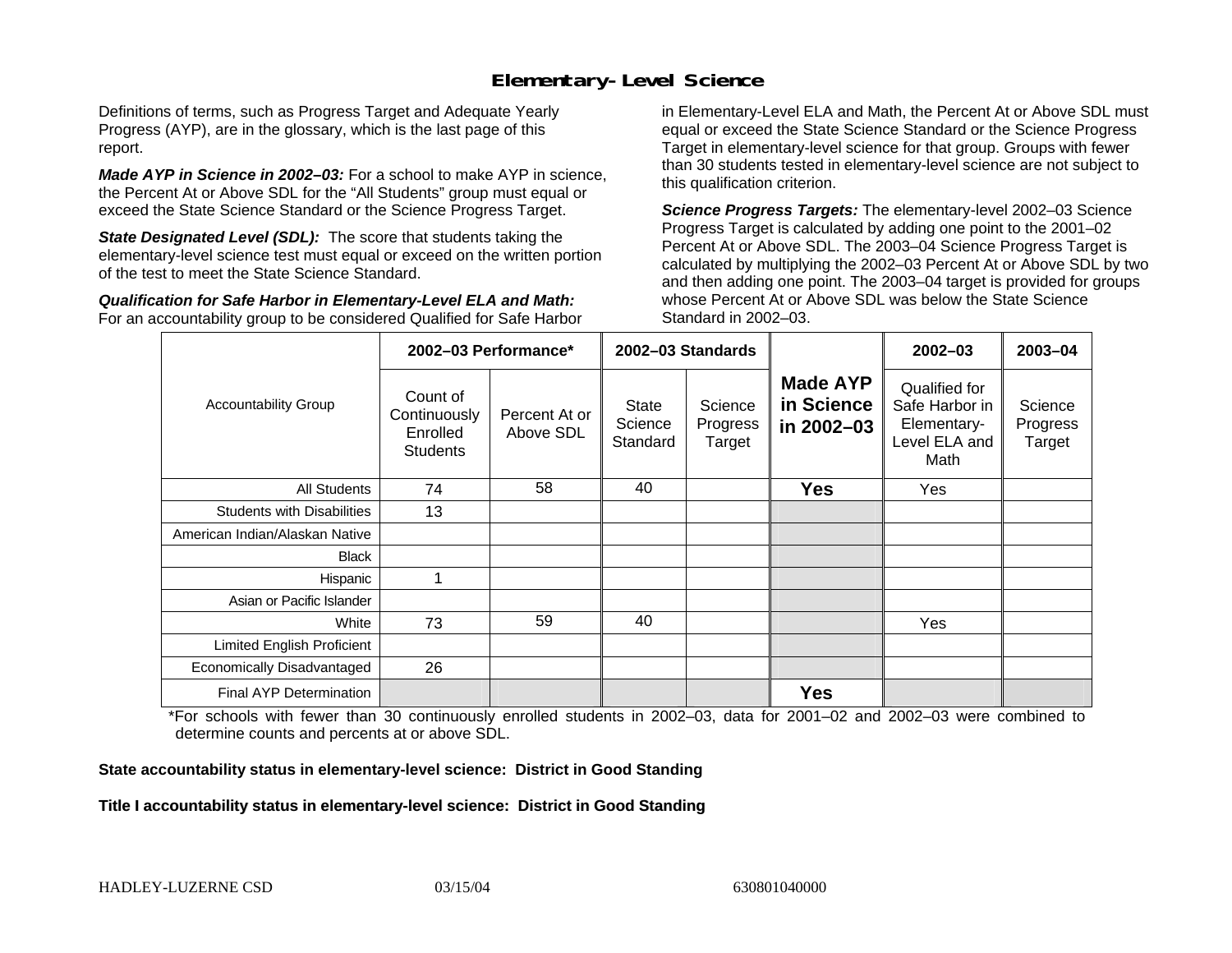#### **Elementary-Level Science**

Definitions of terms, such as Progress Target and Adequate Yearly Progress (AYP), are in the glossary, which is the last page of this report.

*Made AYP in Science in 2002–03:* For a school to make AYP in science, the Percent At or Above SDL for the "All Students" group must equal or exceed the State Science Standard or the Science Progress Target.

**State Designated Level (SDL):** The score that students taking the elementary-level science test must equal or exceed on the written portion of the test to meet the State Science Standard.

*Qualification for Safe Harbor in Elementary-Level ELA and Math:* For an accountability group to be considered Qualified for Safe Harbor in Elementary-Level ELA and Math, the Percent At or Above SDL must equal or exceed the State Science Standard or the Science Progress Target in elementary-level science for that group. Groups with fewer than 30 students tested in elementary-level science are not subject to this qualification criterion.

*Science Progress Targets:* The elementary-level 2002–03 Science Progress Target is calculated by adding one point to the 2001–02 Percent At or Above SDL. The 2003–04 Science Progress Target is calculated by multiplying the 2002–03 Percent At or Above SDL by two and then adding one point. The 2003–04 target is provided for groups whose Percent At or Above SDL was below the State Science Standard in 2002–03.

|                                   |                                                         | 2002-03 Performance*       | 2002-03 Standards            |                               |                                             | $2002 - 03$                                                             | 2003-04                       |
|-----------------------------------|---------------------------------------------------------|----------------------------|------------------------------|-------------------------------|---------------------------------------------|-------------------------------------------------------------------------|-------------------------------|
| <b>Accountability Group</b>       | Count of<br>Continuously<br>Enrolled<br><b>Students</b> | Percent At or<br>Above SDL | State<br>Science<br>Standard | Science<br>Progress<br>Target | <b>Made AYP</b><br>in Science<br>in 2002-03 | Qualified for<br>Safe Harbor in<br>Elementary-<br>Level ELA and<br>Math | Science<br>Progress<br>Target |
| All Students                      | 74                                                      | 58                         | 40                           |                               | <b>Yes</b>                                  | Yes                                                                     |                               |
| <b>Students with Disabilities</b> | 13                                                      |                            |                              |                               |                                             |                                                                         |                               |
| American Indian/Alaskan Native    |                                                         |                            |                              |                               |                                             |                                                                         |                               |
| <b>Black</b>                      |                                                         |                            |                              |                               |                                             |                                                                         |                               |
| Hispanic                          |                                                         |                            |                              |                               |                                             |                                                                         |                               |
| Asian or Pacific Islander         |                                                         |                            |                              |                               |                                             |                                                                         |                               |
| White                             | 73                                                      | 59                         | 40                           |                               |                                             | Yes                                                                     |                               |
| Limited English Proficient        |                                                         |                            |                              |                               |                                             |                                                                         |                               |
| Economically Disadvantaged        | 26                                                      |                            |                              |                               |                                             |                                                                         |                               |
| <b>Final AYP Determination</b>    |                                                         |                            |                              |                               | <b>Yes</b>                                  |                                                                         |                               |

\*For schools with fewer than 30 continuously enrolled students in 2002–03, data for 2001–02 and 2002–03 were combined to determine counts and percents at or above SDL.

#### **State accountability status in elementary-level science: District in Good Standing**

#### Title I accountability status in elementary-level science: District in Good Standing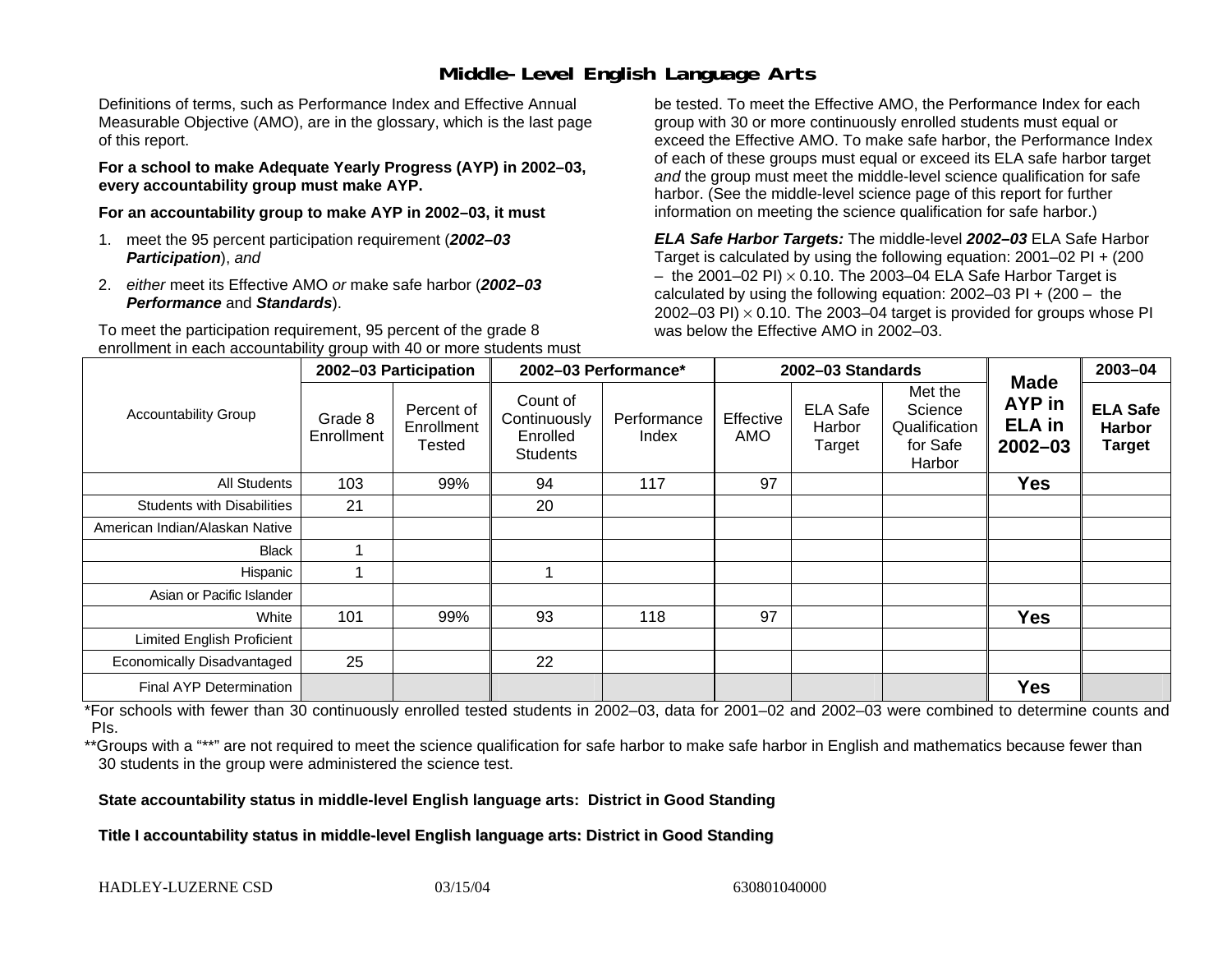### **Middle-Level English Language Arts**

Definitions of terms, such as Performance Index and Effective Annual Measurable Objective (AMO), are in the glossary, which is the last page of this report.

**For a school to make Adequate Yearly Progress (AYP) in 2002–03, every accountability group must make AYP.** 

**For an accountability group to make AYP in 2002–03, it must** 

- 1. meet the 95 percent participation requirement (*2002–03 Participation*), *and*
- 2. *either* meet its Effective AMO *or* make safe harbor (*2002–03 Performance* and *Standards*).

To meet the participation requirement, 95 percent of the grade 8 enrollment in each accountability group with 40 or more students must

be tested. To meet the Effective AMO, the Performance Index for each group with 30 or more continuously enrolled students must equal or exceed the Effective AMO. To make safe harbor, the Performance Index of each of these groups must equal or exceed its ELA safe harbor target *and* the group must meet the middle-level science qualification for safe harbor. (See the middle-level science page of this report for further information on meeting the science qualification for safe harbor.)

*ELA Safe Harbor Targets:* The middle-level *2002–03* ELA Safe Harbor Target is calculated by using the following equation: 2001–02 PI + (200  $-$  the 2001–02 PI)  $\times$  0.10. The 2003–04 ELA Safe Harbor Target is  $\,$ calculated by using the following equation:  $2002-03$  PI +  $(200 -$  the 2002–03 PI)  $\times$  0.10. The 2003–04 target is provided for groups whose PI was below the Effective AMO in 2002–03.

|                                   | 2002-03 Participation |                                           | 2002-03 Performance*                             |                      |                  | 2002-03 Standards                   |                                                           | 2003-04                                               |                                                   |
|-----------------------------------|-----------------------|-------------------------------------------|--------------------------------------------------|----------------------|------------------|-------------------------------------|-----------------------------------------------------------|-------------------------------------------------------|---------------------------------------------------|
| <b>Accountability Group</b>       | Grade 8<br>Enrollment | Percent of<br>Enrollment<br><b>Tested</b> | Count of<br>Continuously<br>Enrolled<br>Students | Performance<br>Index | Effective<br>AMO | <b>ELA Safe</b><br>Harbor<br>Target | Met the<br>Science<br>Qualification<br>for Safe<br>Harbor | <b>Made</b><br>AYP in<br><b>ELA</b> in<br>$2002 - 03$ | <b>ELA Safe</b><br><b>Harbor</b><br><b>Target</b> |
| All Students                      | 103                   | 99%                                       | 94                                               | 117                  | 97               |                                     |                                                           | <b>Yes</b>                                            |                                                   |
| <b>Students with Disabilities</b> | 21                    |                                           | 20                                               |                      |                  |                                     |                                                           |                                                       |                                                   |
| American Indian/Alaskan Native    |                       |                                           |                                                  |                      |                  |                                     |                                                           |                                                       |                                                   |
| Black                             |                       |                                           |                                                  |                      |                  |                                     |                                                           |                                                       |                                                   |
| Hispanic                          |                       |                                           |                                                  |                      |                  |                                     |                                                           |                                                       |                                                   |
| Asian or Pacific Islander         |                       |                                           |                                                  |                      |                  |                                     |                                                           |                                                       |                                                   |
| White                             | 101                   | 99%                                       | 93                                               | 118                  | 97               |                                     |                                                           | <b>Yes</b>                                            |                                                   |
| Limited English Proficient        |                       |                                           |                                                  |                      |                  |                                     |                                                           |                                                       |                                                   |
| Economically Disadvantaged        | 25                    |                                           | 22                                               |                      |                  |                                     |                                                           |                                                       |                                                   |
| <b>Final AYP Determination</b>    |                       |                                           |                                                  |                      |                  |                                     |                                                           | <b>Yes</b>                                            |                                                   |

\*For schools with fewer than 30 continuously enrolled tested students in 2002–03, data for 2001–02 and 2002–03 were combined to determine counts and PIs.

\*\*Groups with a "\*\*" are not required to meet the science qualification for safe harbor to make safe harbor in English and mathematics because fewer than 30 students in the group were administered the science test.

**State accountability status in middle-level English language arts: District in Good Standing** 

Title I accountability status in middle-level English language arts: District in Good Standing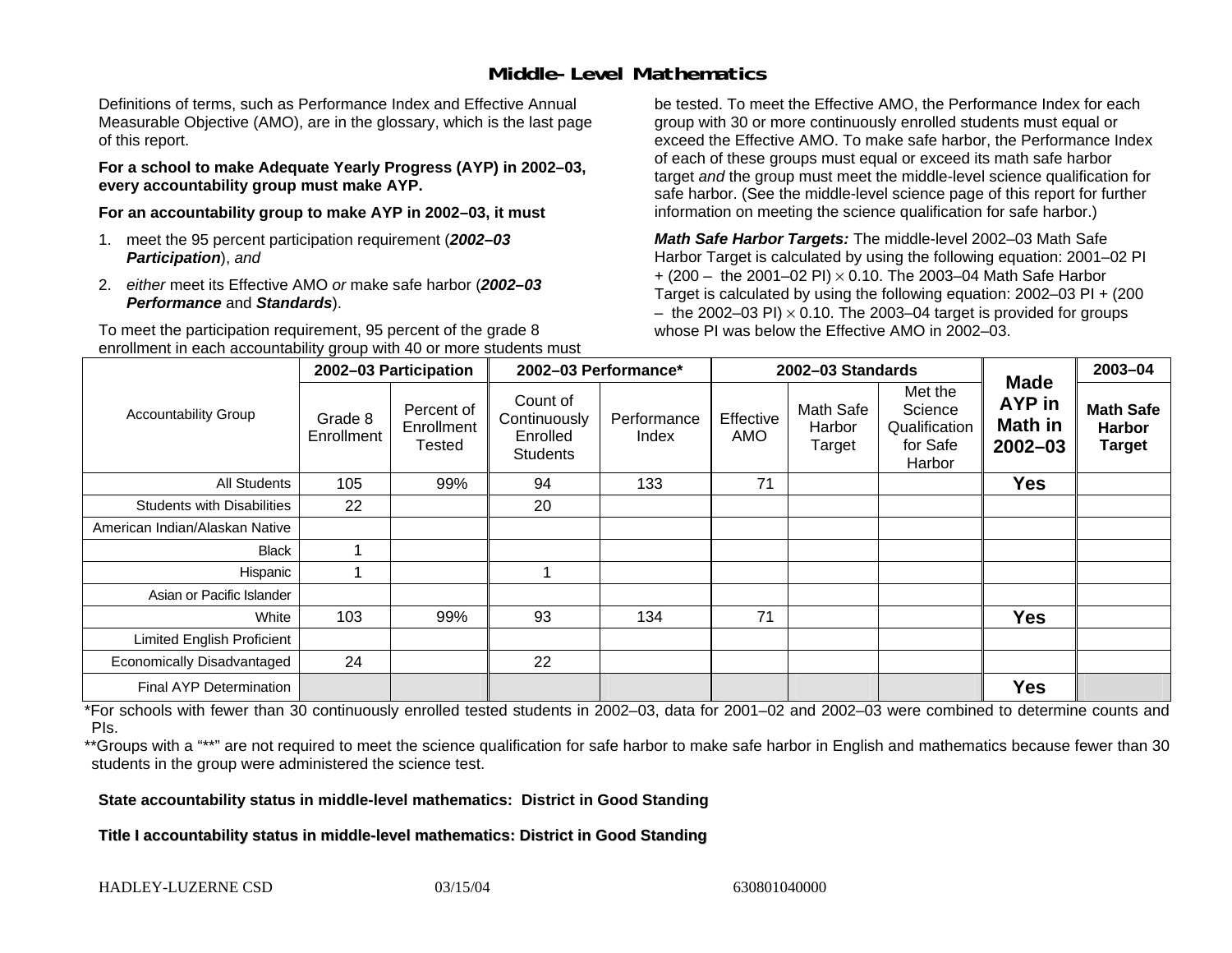### **Middle-Level Mathematics**

Definitions of terms, such as Performance Index and Effective Annual Measurable Objective (AMO), are in the glossary, which is the last page of this report.

**For a school to make Adequate Yearly Progress (AYP) in 2002–03, every accountability group must make AYP.** 

**For an accountability group to make AYP in 2002–03, it must** 

- 1. meet the 95 percent participation requirement (*2002–03 Participation*), *and*
- 2. *either* meet its Effective AMO *or* make safe harbor (*2002–03 Performance* and *Standards*).

To meet the participation requirement, 95 percent of the grade 8 enrollment in each accountability group with 40 or more students must

be tested. To meet the Effective AMO, the Performance Index for each group with 30 or more continuously enrolled students must equal or exceed the Effective AMO. To make safe harbor, the Performance Index of each of these groups must equal or exceed its math safe harbor target *and* the group must meet the middle-level science qualification for safe harbor. (See the middle-level science page of this report for further information on meeting the science qualification for safe harbor.)

*Math Safe Harbor Targets:* The middle-level 2002–03 Math Safe Harbor Target is calculated by using the following equation: 2001–02 PI + (200 – the 2001–02 PI) × 0.10. The 2003–04 Math Safe Harbor Target is calculated by using the following equation: 2002–03 PI + (200  $-$  the 2002–03 PI)  $\times$  0.10. The 2003–04 target is provided for groups whose PI was below the Effective AMO in 2002–03

|                                   | 2002-03 Participation |                                    | 2002-03 Performance*                                    |                      |                  | 2002-03 Standards             |                                                           | 2003-04                                                       |                                                    |
|-----------------------------------|-----------------------|------------------------------------|---------------------------------------------------------|----------------------|------------------|-------------------------------|-----------------------------------------------------------|---------------------------------------------------------------|----------------------------------------------------|
| <b>Accountability Group</b>       | Grade 8<br>Enrollment | Percent of<br>Enrollment<br>Tested | Count of<br>Continuously<br>Enrolled<br><b>Students</b> | Performance<br>Index | Effective<br>AMO | Math Safe<br>Harbor<br>Target | Met the<br>Science<br>Qualification<br>for Safe<br>Harbor | <b>Made</b><br><b>AYP</b> in<br><b>Math in</b><br>$2002 - 03$ | <b>Math Safe</b><br><b>Harbor</b><br><b>Target</b> |
| All Students                      | 105                   | 99%                                | 94                                                      | 133                  | 71               |                               |                                                           | <b>Yes</b>                                                    |                                                    |
| <b>Students with Disabilities</b> | 22                    |                                    | 20                                                      |                      |                  |                               |                                                           |                                                               |                                                    |
| American Indian/Alaskan Native    |                       |                                    |                                                         |                      |                  |                               |                                                           |                                                               |                                                    |
| <b>Black</b>                      |                       |                                    |                                                         |                      |                  |                               |                                                           |                                                               |                                                    |
| Hispanic                          |                       |                                    |                                                         |                      |                  |                               |                                                           |                                                               |                                                    |
| Asian or Pacific Islander         |                       |                                    |                                                         |                      |                  |                               |                                                           |                                                               |                                                    |
| White                             | 103                   | 99%                                | 93                                                      | 134                  | 71               |                               |                                                           | <b>Yes</b>                                                    |                                                    |
| <b>Limited English Proficient</b> |                       |                                    |                                                         |                      |                  |                               |                                                           |                                                               |                                                    |
| Economically Disadvantaged        | 24                    |                                    | 22                                                      |                      |                  |                               |                                                           |                                                               |                                                    |
| <b>Final AYP Determination</b>    |                       |                                    |                                                         |                      |                  |                               |                                                           | <b>Yes</b>                                                    |                                                    |

\*For schools with fewer than 30 continuously enrolled tested students in 2002–03, data for 2001–02 and 2002–03 were combined to determine counts and PIs.

\*\*Groups with a "\*\*" are not required to meet the science qualification for safe harbor to make safe harbor in English and mathematics because fewer than 30 students in the group were administered the science test.

**State accountability status in middle-level mathematics: District in Good Standing** 

Title I accountability status in middle-level mathematics: District in Good Standing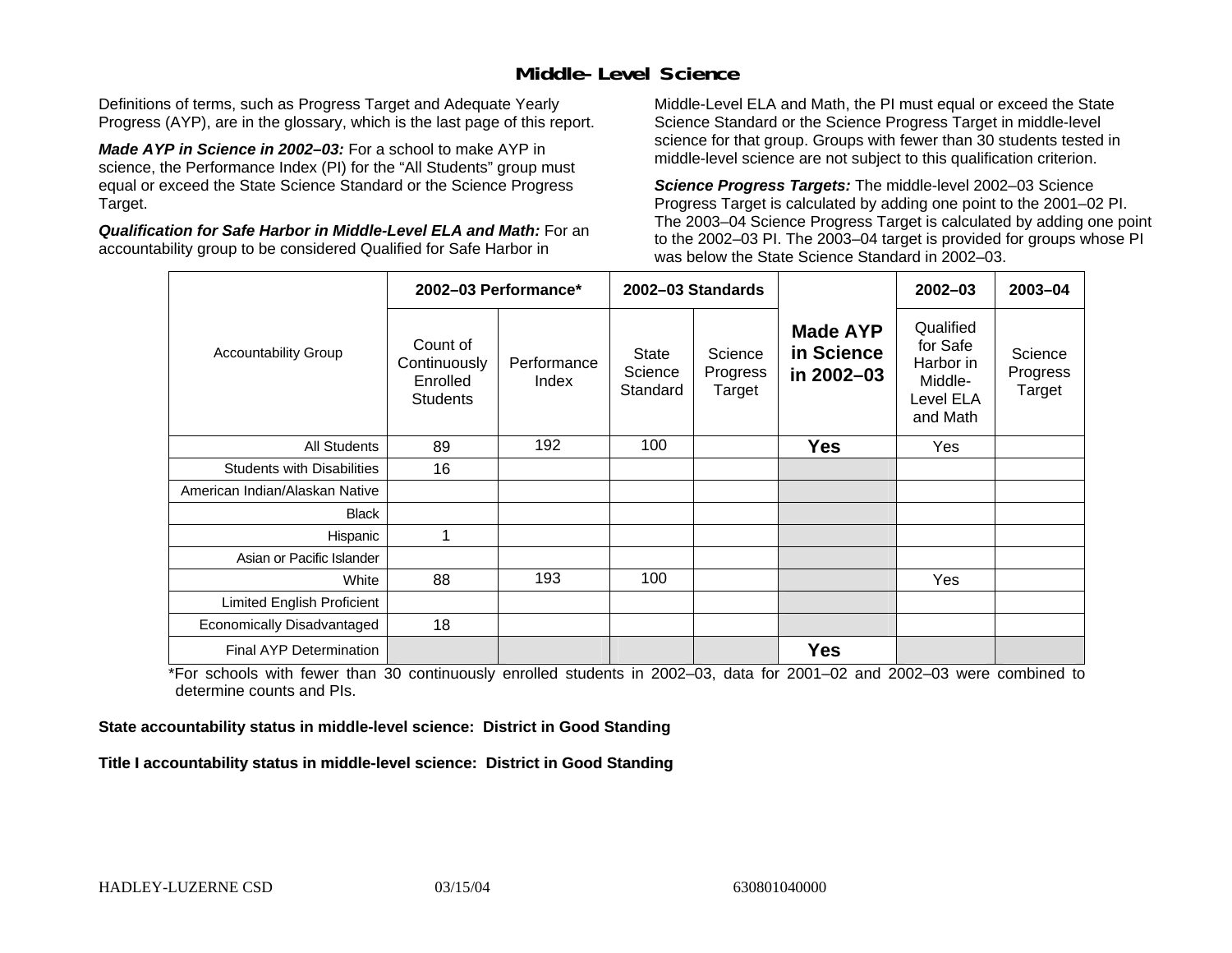### **Middle-Level Science**

Definitions of terms, such as Progress Target and Adequate Yearly Progress (AYP), are in the glossary, which is the last page of this report.

*Made AYP in Science in 2002–03:* For a school to make AYP in science, the Performance Index (PI) for the "All Students" group must equal or exceed the State Science Standard or the Science Progress Target.

*Qualification for Safe Harbor in Middle-Level ELA and Math:* For an accountability group to be considered Qualified for Safe Harbor in

Middle-Level ELA and Math, the PI must equal or exceed the State Science Standard or the Science Progress Target in middle-level science for that group. Groups with fewer than 30 students tested in middle-level science are not subject to this qualification criterion.

*Science Progress Targets:* The middle-level 2002–03 Science Progress Target is calculated by adding one point to the 2001–02 PI. The 2003–04 Science Progress Target is calculated by adding one point to the 2002–03 PI. The 2003–04 target is provided for groups whose PI was below the State Science Standard in 2002–03.

|                                   | 2002-03 Performance*                                    |                      |                                     | 2002-03 Standards             |                                             | $2002 - 03$                                                            | $2003 - 04$                   |
|-----------------------------------|---------------------------------------------------------|----------------------|-------------------------------------|-------------------------------|---------------------------------------------|------------------------------------------------------------------------|-------------------------------|
| <b>Accountability Group</b>       | Count of<br>Continuously<br>Enrolled<br><b>Students</b> | Performance<br>Index | <b>State</b><br>Science<br>Standard | Science<br>Progress<br>Target | <b>Made AYP</b><br>in Science<br>in 2002-03 | Qualified<br>for Safe<br>Harbor in<br>Middle-<br>Level ELA<br>and Math | Science<br>Progress<br>Target |
| All Students                      | 89                                                      | 192                  | 100                                 |                               | <b>Yes</b>                                  | Yes                                                                    |                               |
| <b>Students with Disabilities</b> | 16                                                      |                      |                                     |                               |                                             |                                                                        |                               |
| American Indian/Alaskan Native    |                                                         |                      |                                     |                               |                                             |                                                                        |                               |
| <b>Black</b>                      |                                                         |                      |                                     |                               |                                             |                                                                        |                               |
| Hispanic                          | 1                                                       |                      |                                     |                               |                                             |                                                                        |                               |
| Asian or Pacific Islander         |                                                         |                      |                                     |                               |                                             |                                                                        |                               |
| White                             | 88                                                      | 193                  | 100                                 |                               |                                             | Yes                                                                    |                               |
| Limited English Proficient        |                                                         |                      |                                     |                               |                                             |                                                                        |                               |
| Economically Disadvantaged        | 18                                                      |                      |                                     |                               |                                             |                                                                        |                               |
| <b>Final AYP Determination</b>    |                                                         |                      |                                     |                               | <b>Yes</b>                                  |                                                                        |                               |

\*For schools with fewer than 30 continuously enrolled students in 2002–03, data for 2001–02 and 2002–03 were combined to determine counts and PIs.

**State accountability status in middle-level science: District in Good Standing** 

Title I accountability status in middle-level science: District in Good Standing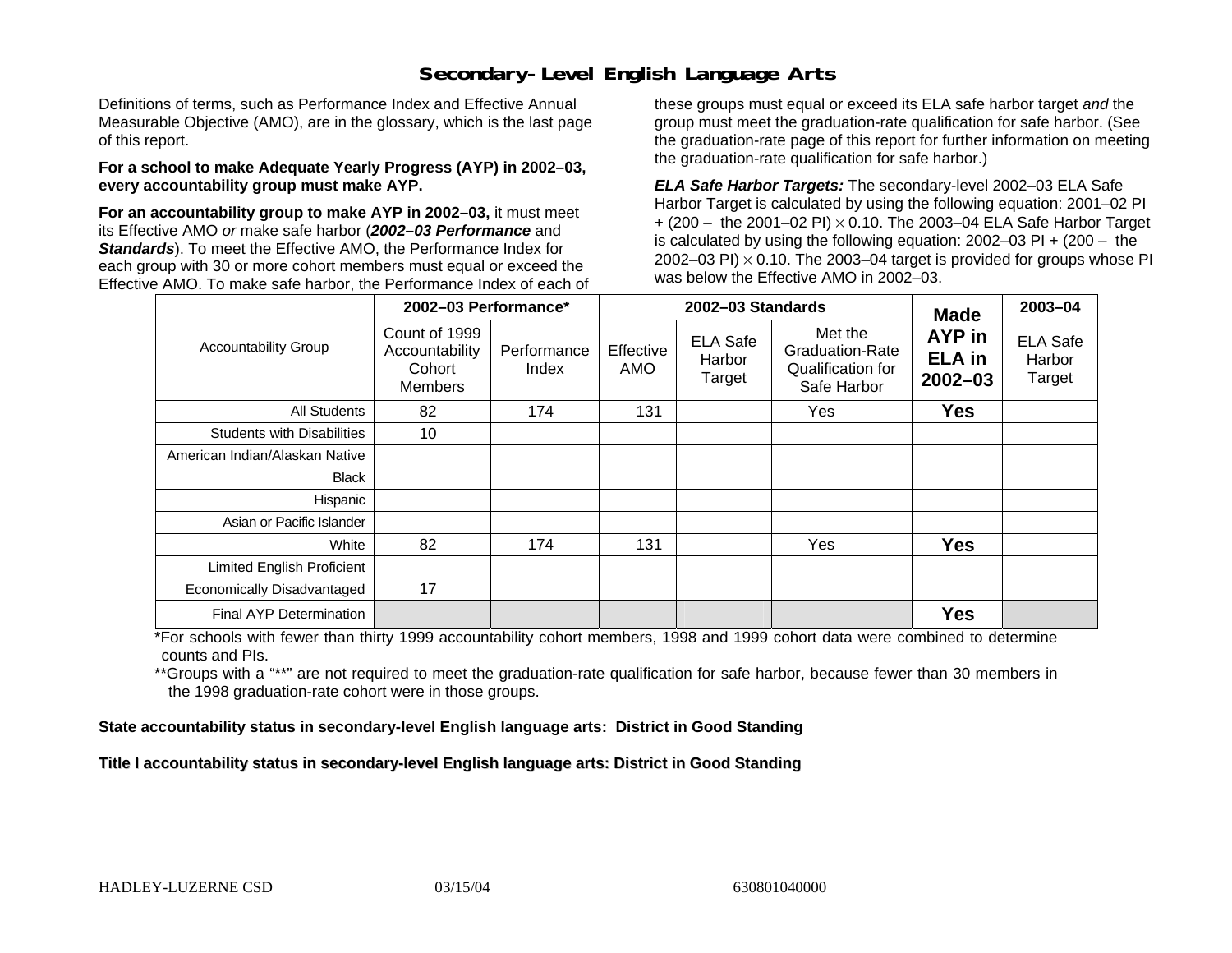### **Secondary-Level English Language Arts**

Definitions of terms, such as Performance Index and Effective Annual Measurable Objective (AMO), are in the glossary, which is the last page of this report.

#### **For a school to make Adequate Yearly Progress (AYP) in 2002–03, every accountability group must make AYP.**

**For an accountability group to make AYP in 2002–03,** it must meet its Effective AMO *or* make safe harbor (*2002–03 Performance* and *Standards*). To meet the Effective AMO, the Performance Index for each group with 30 or more cohort members must equal or exceed the Effective AMO. To make safe harbor, the Performance Index of each of these groups must equal or exceed its ELA safe harbor target *and* the group must meet the graduation-rate qualification for safe harbor. (See the graduation-rate page of this report for further information on meeting the graduation-rate qualification for safe harbor.)

*ELA Safe Harbor Targets:* The secondary-level 2002–03 ELA Safe Harbor Target is calculated by using the following equation: 2001–02 PI + (200 – the 2001–02 PI) <sup>×</sup> 0.10. The 2003–04 ELA Safe Harbor Target is calculated by using the following equation: 2002–03 PI + (200 – the 2002–03 PI)  $\times$  0.10. The 2003–04 target is provided for groups whose PI was below the Effective AMO in 2002–03.

|                                   | 2002-03 Performance*                                        |                      |                  | 2002-03 Standards                   | <b>Made</b>                                                    | 2003-04                                |                                     |
|-----------------------------------|-------------------------------------------------------------|----------------------|------------------|-------------------------------------|----------------------------------------------------------------|----------------------------------------|-------------------------------------|
| <b>Accountability Group</b>       | Count of 1999<br>Accountability<br>Cohort<br><b>Members</b> | Performance<br>Index | Effective<br>AMO | <b>ELA Safe</b><br>Harbor<br>Target | Met the<br>Graduation-Rate<br>Qualification for<br>Safe Harbor | AYP in<br><b>ELA</b> in<br>$2002 - 03$ | <b>ELA Safe</b><br>Harbor<br>Target |
| <b>All Students</b>               | 82                                                          | 174                  | 131              |                                     | Yes                                                            | <b>Yes</b>                             |                                     |
| <b>Students with Disabilities</b> | 10                                                          |                      |                  |                                     |                                                                |                                        |                                     |
| American Indian/Alaskan Native    |                                                             |                      |                  |                                     |                                                                |                                        |                                     |
| <b>Black</b>                      |                                                             |                      |                  |                                     |                                                                |                                        |                                     |
| Hispanic                          |                                                             |                      |                  |                                     |                                                                |                                        |                                     |
| Asian or Pacific Islander         |                                                             |                      |                  |                                     |                                                                |                                        |                                     |
| White                             | 82                                                          | 174                  | 131              |                                     | Yes                                                            | <b>Yes</b>                             |                                     |
| Limited English Proficient        |                                                             |                      |                  |                                     |                                                                |                                        |                                     |
| Economically Disadvantaged        | 17                                                          |                      |                  |                                     |                                                                |                                        |                                     |
| Final AYP Determination           |                                                             |                      |                  |                                     |                                                                | <b>Yes</b>                             |                                     |

\*For schools with fewer than thirty 1999 accountability cohort members, 1998 and 1999 cohort data were combined to determine counts and PIs.

\*\*Groups with a "\*\*" are not required to meet the graduation-rate qualification for safe harbor, because fewer than 30 members in the 1998 graduation-rate cohort were in those groups.

**State accountability status in secondary-level English language arts: District in Good Standing** 

Title I accountability status in secondary-level English language arts: District in Good Standing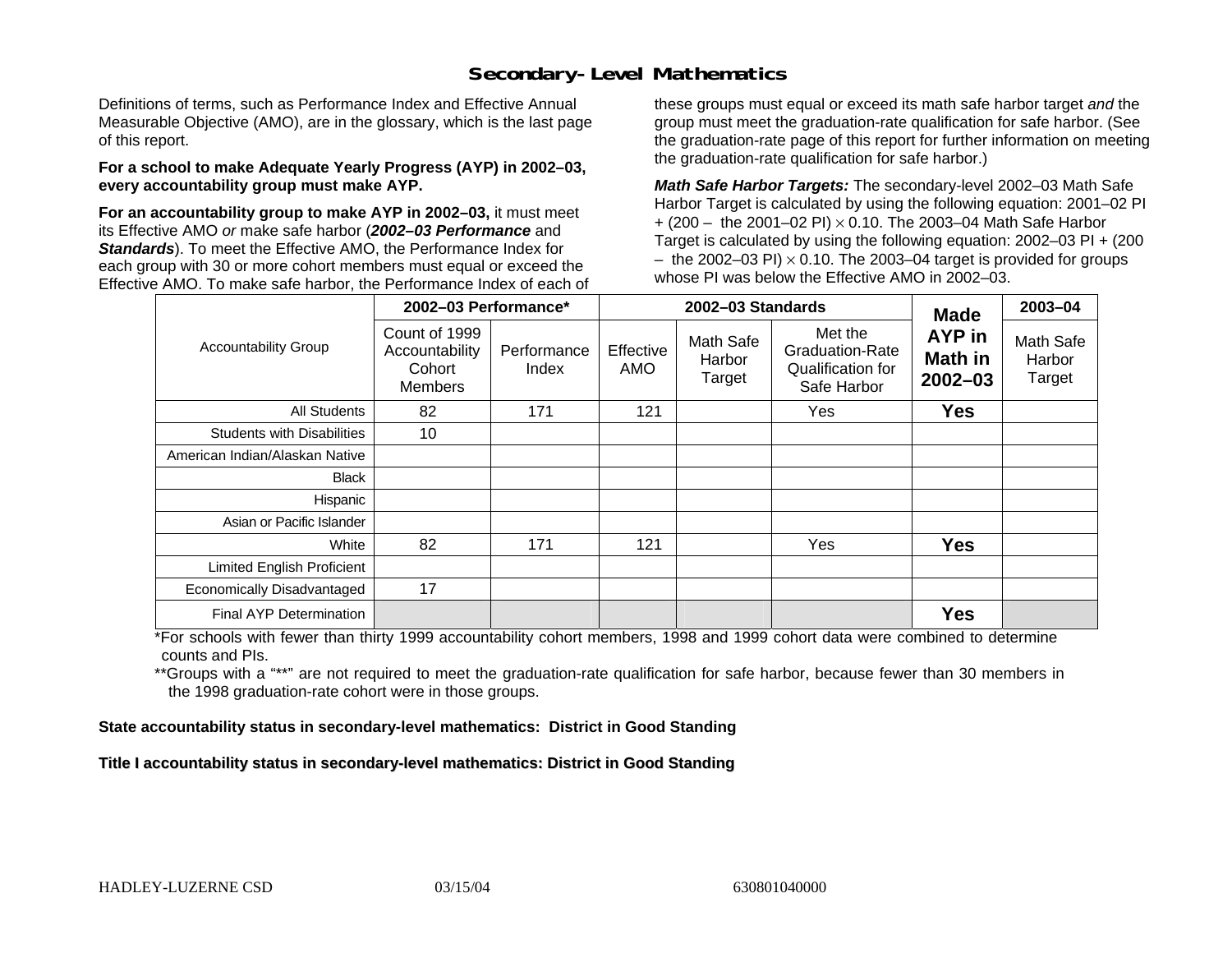### **Secondary-Level Mathematics**

Definitions of terms, such as Performance Index and Effective Annual Measurable Objective (AMO), are in the glossary, which is the last page of this report.

#### **For a school to make Adequate Yearly Progress (AYP) in 2002–03, every accountability group must make AYP.**

**For an accountability group to make AYP in 2002–03,** it must meet its Effective AMO *or* make safe harbor (*2002–03 Performance* and *Standards*). To meet the Effective AMO, the Performance Index for each group with 30 or more cohort members must equal or exceed the Effective AMO. To make safe harbor, the Performance Index of each of these groups must equal or exceed its math safe harbor target *and* the group must meet the graduation-rate qualification for safe harbor. (See the graduation-rate page of this report for further information on meeting the graduation-rate qualification for safe harbor.)

*Math Safe Harbor Targets:* The secondary-level 2002–03 Math Safe Harbor Target is calculated by using the following equation: 2001–02 PI + (200 – the 2001–02 PI) × 0.10. The 2003–04 Math Safe Harbor Target is calculated by using the following equation: 2002–03 PI + (200  $-$  the 2002–03 PI)  $\times$  0.10. The 2003–04 target is provided for groups whose PI was below the Effective AMO in 2002–03.

|                                   | 2002-03 Performance*                                        |                      |                  | 2002-03 Standards                    | <b>Made</b>                                                           | 2003-04                          |                               |
|-----------------------------------|-------------------------------------------------------------|----------------------|------------------|--------------------------------------|-----------------------------------------------------------------------|----------------------------------|-------------------------------|
| <b>Accountability Group</b>       | Count of 1999<br>Accountability<br>Cohort<br><b>Members</b> | Performance<br>Index | Effective<br>AMO | <b>Math Safe</b><br>Harbor<br>Target | Met the<br><b>Graduation-Rate</b><br>Qualification for<br>Safe Harbor | AYP in<br>Math in<br>$2002 - 03$ | Math Safe<br>Harbor<br>Target |
| All Students                      | 82                                                          | 171                  | 121              |                                      | Yes                                                                   | <b>Yes</b>                       |                               |
| <b>Students with Disabilities</b> | 10                                                          |                      |                  |                                      |                                                                       |                                  |                               |
| American Indian/Alaskan Native    |                                                             |                      |                  |                                      |                                                                       |                                  |                               |
| <b>Black</b>                      |                                                             |                      |                  |                                      |                                                                       |                                  |                               |
| Hispanic                          |                                                             |                      |                  |                                      |                                                                       |                                  |                               |
| Asian or Pacific Islander         |                                                             |                      |                  |                                      |                                                                       |                                  |                               |
| White                             | 82                                                          | 171                  | 121              |                                      | Yes                                                                   | <b>Yes</b>                       |                               |
| Limited English Proficient        |                                                             |                      |                  |                                      |                                                                       |                                  |                               |
| Economically Disadvantaged        | 17                                                          |                      |                  |                                      |                                                                       |                                  |                               |
| <b>Final AYP Determination</b>    |                                                             |                      |                  |                                      |                                                                       | <b>Yes</b>                       |                               |

\*For schools with fewer than thirty 1999 accountability cohort members, 1998 and 1999 cohort data were combined to determine counts and PIs.

\*\*Groups with a "\*\*" are not required to meet the graduation-rate qualification for safe harbor, because fewer than 30 members in the 1998 graduation-rate cohort were in those groups.

**State accountability status in secondary-level mathematics: District in Good Standing** 

Title I accountability status in secondary-level mathematics: District in Good Standing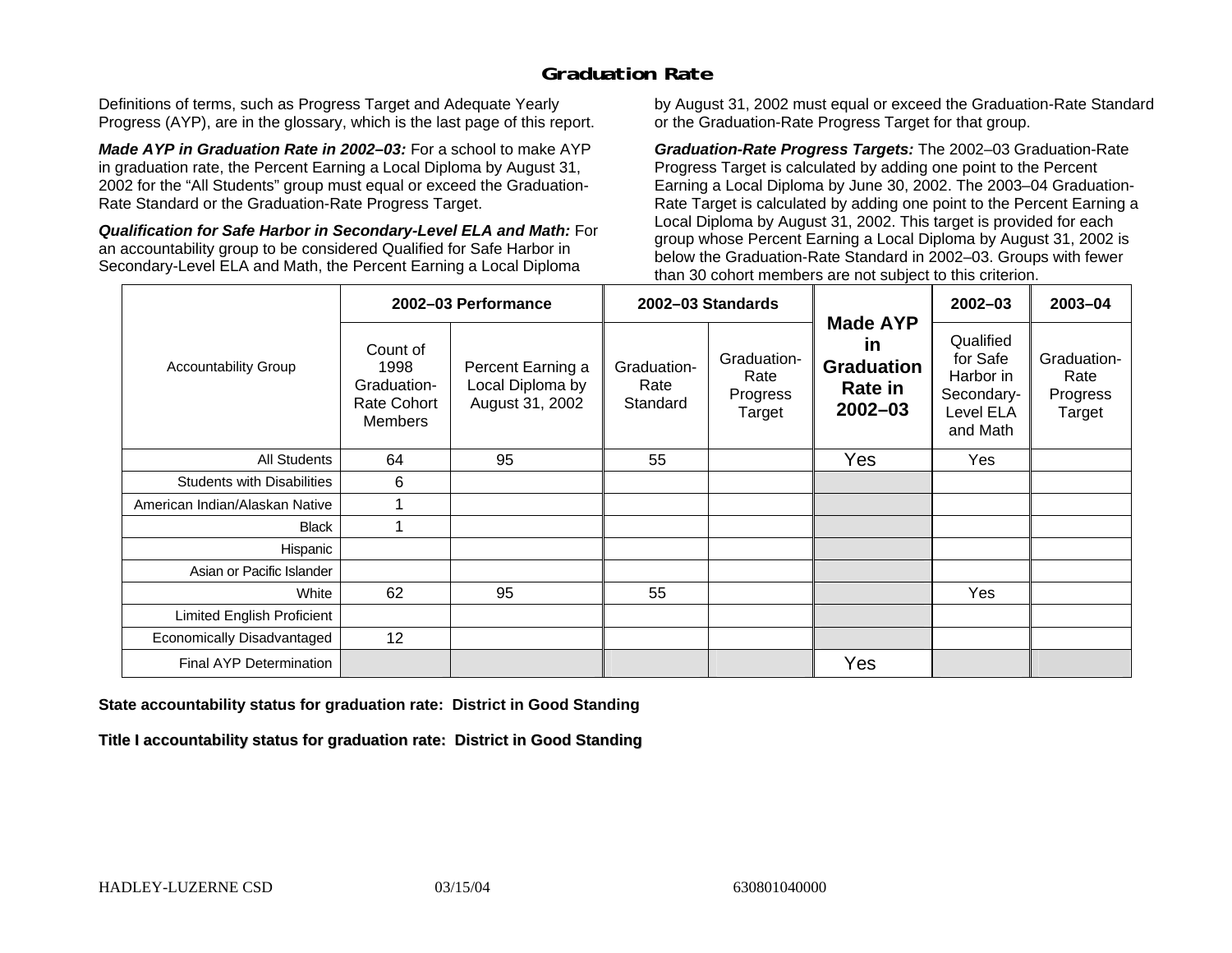## **Graduation Rate**

Definitions of terms, such as Progress Target and Adequate Yearly Progress (AYP), are in the glossary, which is the last page of this report.

*Made AYP in Graduation Rate in 2002–03:* For a school to make AYP in graduation rate, the Percent Earning a Local Diploma by August 31, 2002 for the "All Students" group must equal or exceed the Graduation-Rate Standard or the Graduation-Rate Progress Target.

*Qualification for Safe Harbor in Secondary-Level ELA and Math:* For an accountability group to be considered Qualified for Safe Harbor in Secondary-Level ELA and Math, the Percent Earning a Local Diploma

by August 31, 2002 must equal or exceed the Graduation-Rate Standard or the Graduation-Rate Progress Target for that group.

*Graduation-Rate Progress Targets:* The 2002–03 Graduation-Rate Progress Target is calculated by adding one point to the Percent Earning a Local Diploma by June 30, 2002. The 2003–04 Graduation-Rate Target is calculated by adding one point to the Percent Earning a Local Diploma by August 31, 2002. This target is provided for each group whose Percent Earning a Local Diploma by August 31, 2002 is below the Graduation-Rate Standard in 2002–03. Groups with fewer than 30 cohort members are not subject to this criterion.

|                                   |                                                                         | 2002-03 Performance                                      |                                 | 2002-03 Standards                         |                                                                             | $2002 - 03$                                                               | 2003-04                                   |
|-----------------------------------|-------------------------------------------------------------------------|----------------------------------------------------------|---------------------------------|-------------------------------------------|-----------------------------------------------------------------------------|---------------------------------------------------------------------------|-------------------------------------------|
| <b>Accountability Group</b>       | Count of<br>1998<br>Graduation-<br><b>Rate Cohort</b><br><b>Members</b> | Percent Earning a<br>Local Diploma by<br>August 31, 2002 | Graduation-<br>Rate<br>Standard | Graduation-<br>Rate<br>Progress<br>Target | <b>Made AYP</b><br>in<br><b>Graduation</b><br><b>Rate in</b><br>$2002 - 03$ | Qualified<br>for Safe<br>Harbor in<br>Secondary-<br>Level ELA<br>and Math | Graduation-<br>Rate<br>Progress<br>Target |
| All Students                      | 64                                                                      | 95                                                       | 55                              |                                           | Yes                                                                         | Yes                                                                       |                                           |
| <b>Students with Disabilities</b> | 6                                                                       |                                                          |                                 |                                           |                                                                             |                                                                           |                                           |
| American Indian/Alaskan Native    |                                                                         |                                                          |                                 |                                           |                                                                             |                                                                           |                                           |
| <b>Black</b>                      |                                                                         |                                                          |                                 |                                           |                                                                             |                                                                           |                                           |
| Hispanic                          |                                                                         |                                                          |                                 |                                           |                                                                             |                                                                           |                                           |
| Asian or Pacific Islander         |                                                                         |                                                          |                                 |                                           |                                                                             |                                                                           |                                           |
| White                             | 62                                                                      | 95                                                       | 55                              |                                           |                                                                             | Yes                                                                       |                                           |
| Limited English Proficient        |                                                                         |                                                          |                                 |                                           |                                                                             |                                                                           |                                           |
| Economically Disadvantaged        | 12                                                                      |                                                          |                                 |                                           |                                                                             |                                                                           |                                           |
| <b>Final AYP Determination</b>    |                                                                         |                                                          |                                 |                                           | Yes                                                                         |                                                                           |                                           |

#### **State accountability status for graduation rate: District in Good Standing**

Title I accountability status for graduation rate: District in Good Standing